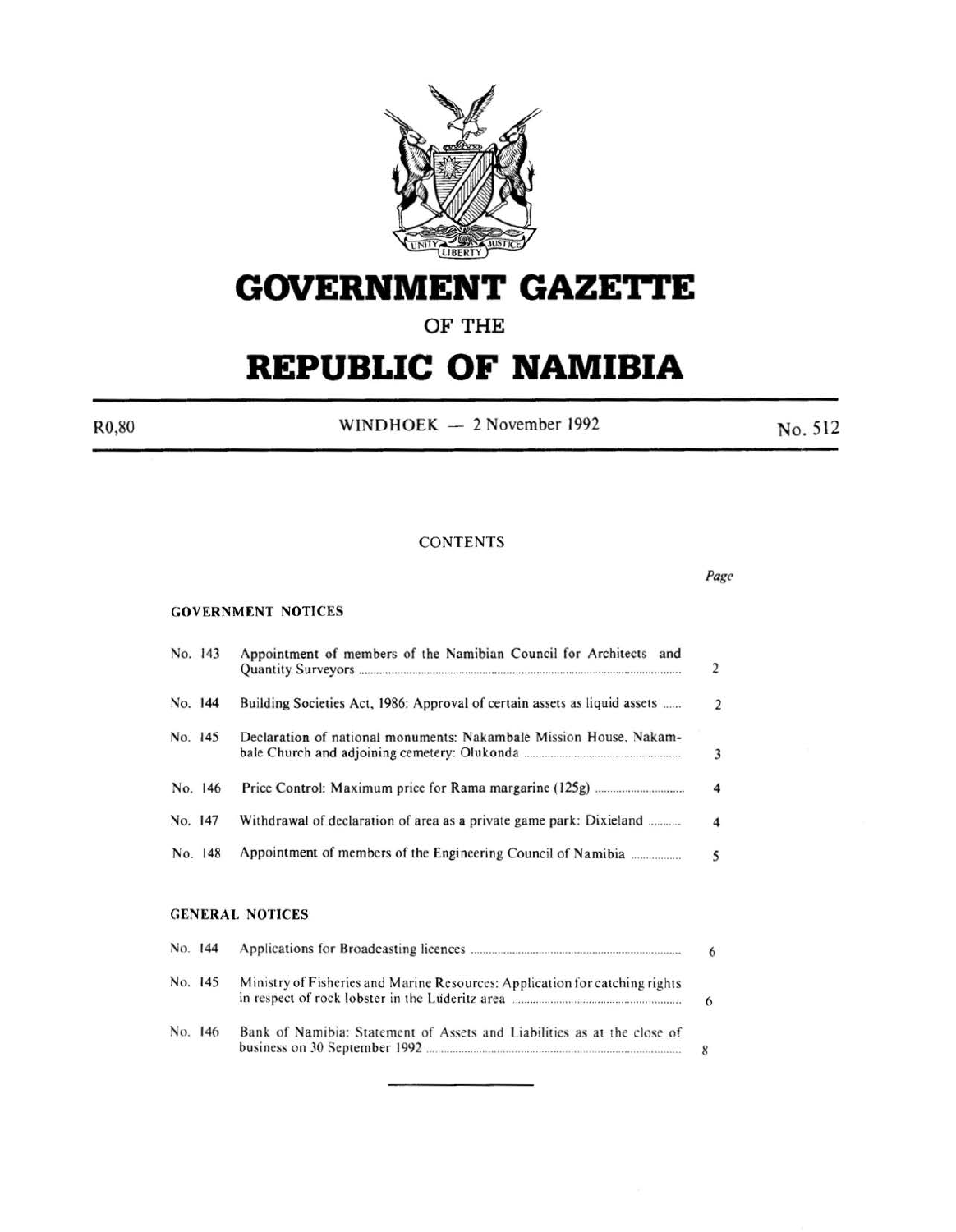

# **GOVERNMENT GAZE'rtE**

## **OF THE**

# **REPUBLIC OF NAMIBIA**

 $R0,80$  WINDHOEK - 2 November 1992 No. 512

Page

#### **CONTENTS**

#### GOVERNMENT NOTICES

| No. 143 |         | Appointment of members of the Namibian Council for Architects and         | $\overline{2}$ |
|---------|---------|---------------------------------------------------------------------------|----------------|
| No. 144 |         | Building Societies Act, 1986: Approval of certain assets as liquid assets | 2              |
| No. 145 |         | Declaration of national monuments: Nakambale Mission House, Nakam-        | 3              |
|         | No. 146 |                                                                           | 4              |
| No. 147 |         | Withdrawal of declaration of area as a private game park: Dixieland       | 4              |
|         | No. 148 |                                                                           | 5              |
|         |         | <b>GENERAL NOTICES</b>                                                    |                |

| No. 144 |                                                                             | 6 |
|---------|-----------------------------------------------------------------------------|---|
| No. 145 | Ministry of Fisheries and Marine Resources: Application for catching rights |   |
| No. 146 | Bank of Namibia: Statement of Assets and Liabilities as at the close of     |   |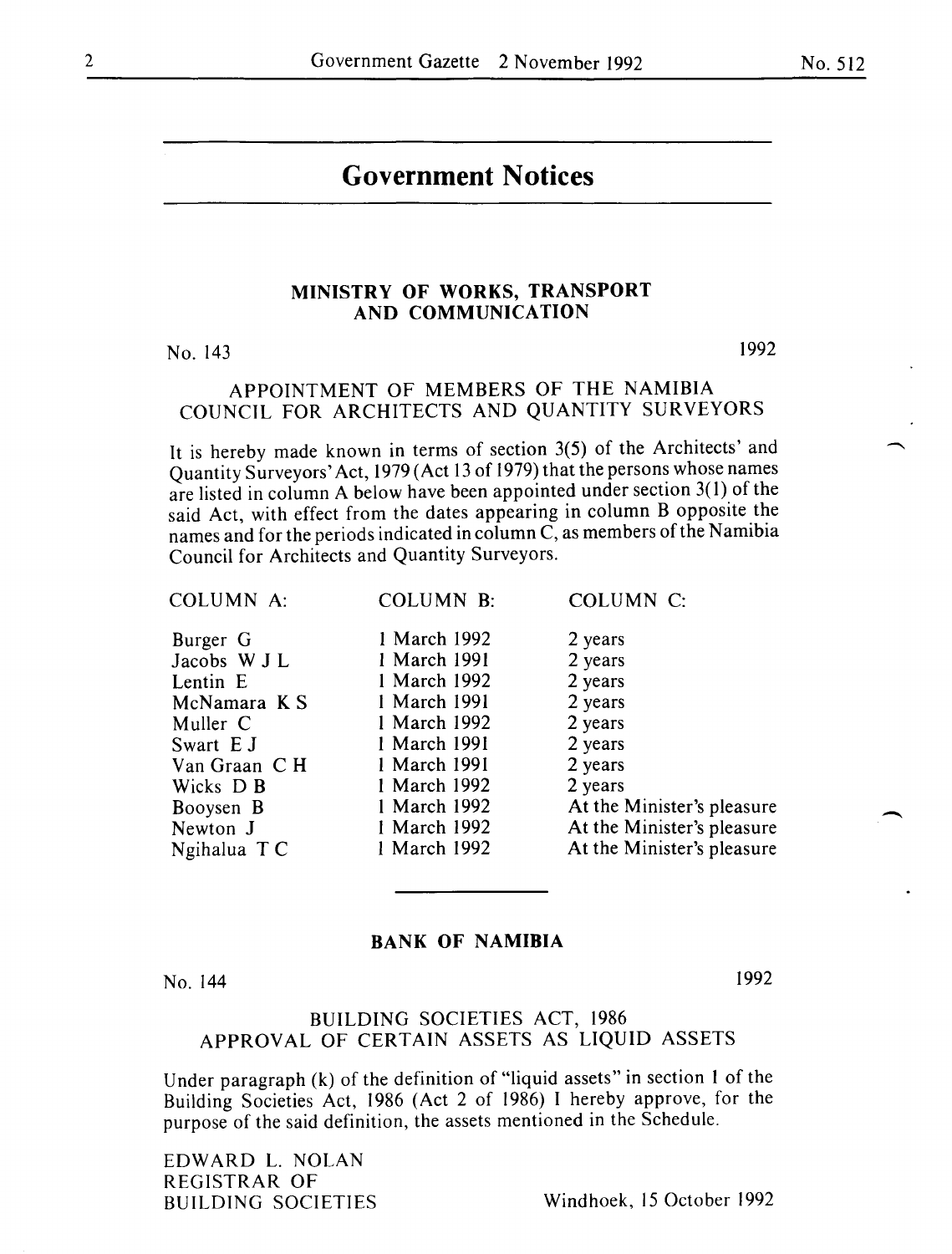## **Government Notices**

#### **MINISTRY OF WORKS, TRANSPORT AND COMMUNICATION**

No. 143

1992

#### APPOINTMENT OF MEMBERS OF THE NAMIBIA COUNCIL FOR ARCHITECTS AND QUANTITY SURVEYORS

It is hereby made known in terms of section 3(5) of the Architects' and Quantity Surveyors' Act, 1979 (Act 13 of 1979) that the persons whose names are listed in column A below have been appointed under section 3(1) of the said Act, with effect from the dates appearing in column B opposite the names and for the periods indicated in column C, as members of the Namibia Council for Architects and Quantity Surveyors.

|  | COLUMN A: |  |
|--|-----------|--|
|  |           |  |

Burger G 1 March 1992 2 years

 $McNamara$  K S Wicks D B 1 March 1992<br>Booysen B 1 March 1992 Newton J<br>
Narch 1992 At the Minister's pleasure<br>
Ngihalua T C 1 March 1992 At the Minister's pleasure

Jacobs W J L 1 March 1991 2 years<br>
Lentin E 1 March 1992 2 years Lentin E 1 March 1992 2 years<br>
McNamara K S 1 March 1991 2 years Muller C 1 March 1992 2 years Swart E J 1 March 1991 2 years<br>
Van Graan C H 1 March 1991 2 years Van Graan C H <sup>1</sup> March 1991 2 years<br>Wicks D B 1 March 1992 2 years

COLUMN A: COLUMN **B:** COLUMN C:

1 March 1992 **At the Minister's pleasure**<br>**Books Books At the Minister's pleasure** 

Ngihalua T C I March I992 At the Minister's pleasure

#### **BANK OF NAMIBIA**

No. 144

I992

 $\overline{\phantom{a}}$ 

#### BUILDING SOCIETIES ACT, 1986 APPROVAL OF CERTAIN ASSETS AS LIQUID ASSETS

Under paragraph (k) of the definition of "liquid assets" in section I of the Building Societies Act, 1986 (Act 2 of 1986) I hereby approve, for the purpose of the said definition, the assets mentioned in the Schedule.

EDWARD L. NOLAN REGISTRAR OF

BUILDING SOCIETIES Windhoek, 15 October 1992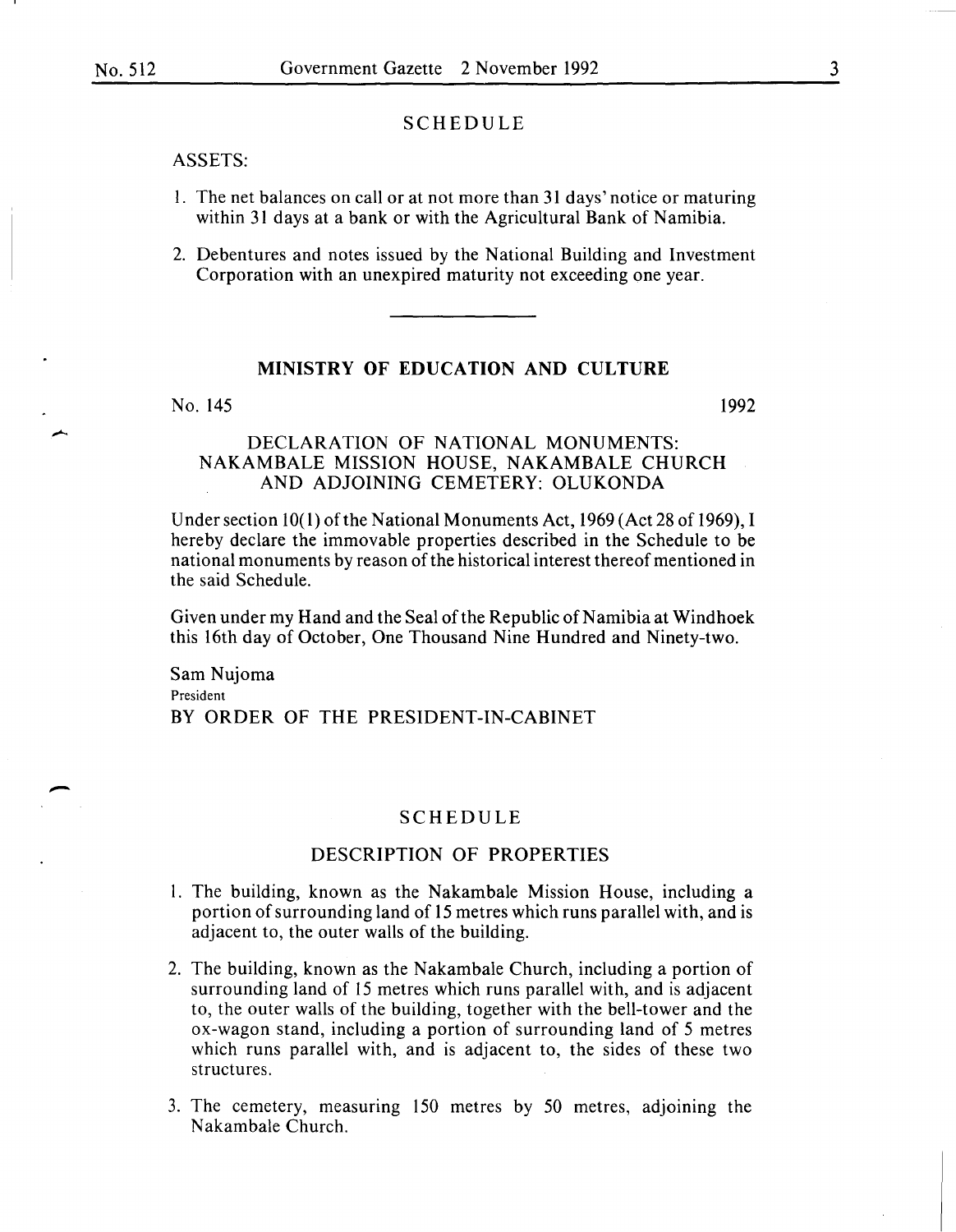-

#### SCHEDULE

#### ASSETS:

- 1. The net balances on call or at not more than 31 days' notice or maturing within 31 days at a bank or with the Agricultural Bank of Namibia.
- 2. Debentures and notes issued by the National Building and Investment Corporation with an unexpired maturity not exceeding one year.

#### **MINISTRY OF EDUCATION AND CULTURE**

No. 145 1992

#### DECLARATION OF NATIONAL MONUMENTS: NAKAMBALE MISSION HOUSE, NAKAMBALE CHURCH AND ADJOINING CEMETERY: OLUKONDA

Under section  $10(1)$  of the National Monuments Act, 1969 (Act 28 of 1969), I hereby declare the immovable properties described in the Schedule to be national monuments by reason of the historical interest thereof mentioned in the said Schedule.

Given under my Hand and the Seal of the Republic of Namibia at Windhoek this 16th day of October, One Thousand Nine Hundred and Ninety-two.

Sam Nujoma President BY ORDER OF THE PRESIDENT-IN-CABINET

#### SCHEDULE

#### DESCRIPTION OF PROPERTIES

- l. The building, known as the Nakambale Mission House, including a portion of surrounding land of 15 metres which runs parallel with, and is adjacent to, the outer walls of the building.
- 2. The building, known as the Nakambale Church, including a portion of surrounding land of 15 metres which runs parallel with, and is adjacent to, the outer walls of the building, together with the bell-tower and the ox-wagon stand, including a portion of surrounding land of 5 metres which runs parallel with, and is adjacent to, the sides of these two structures.
- 3. The cemetery, measuring 150 metres by 50 metres, adjoining the Nakambale Church.

3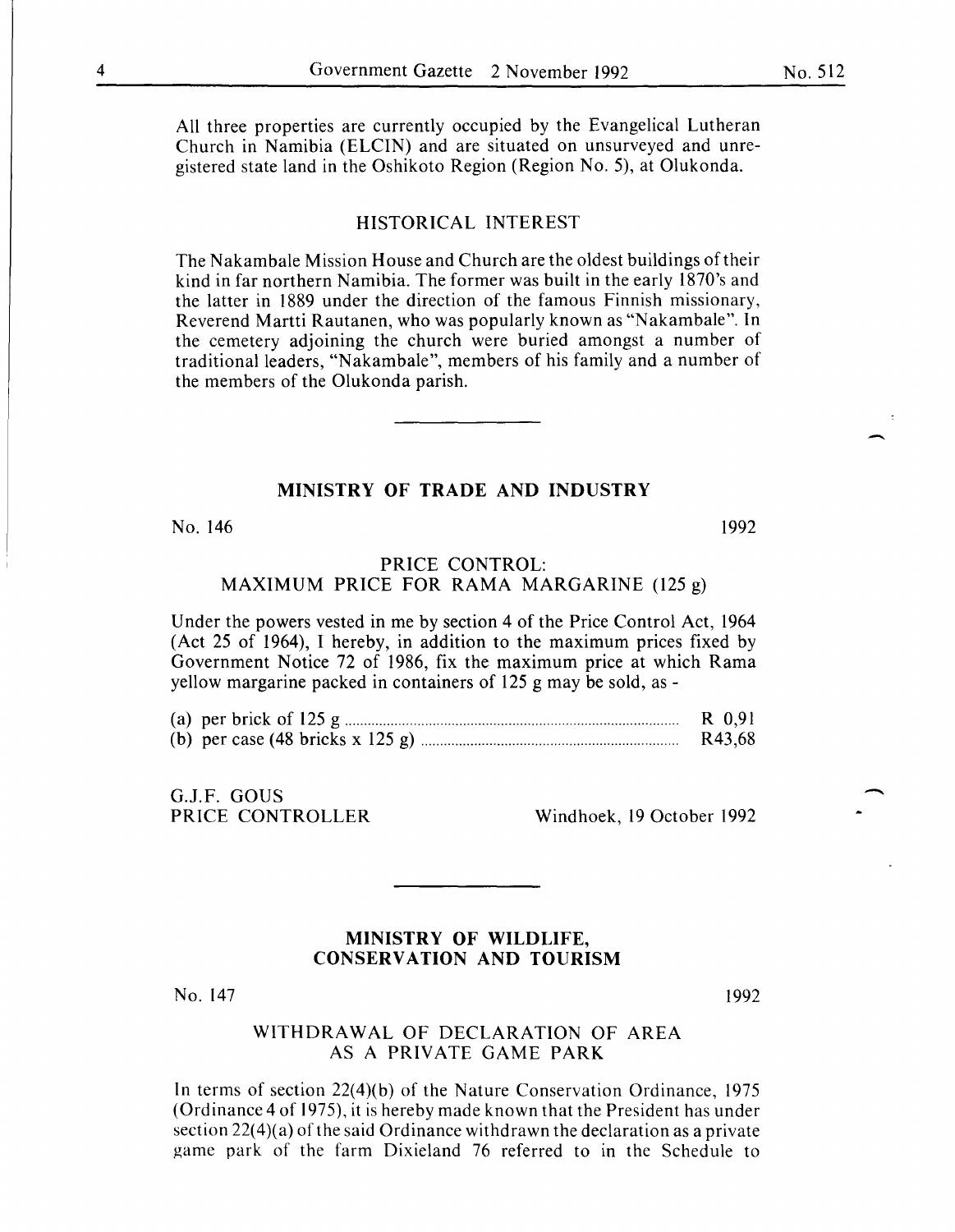All three properties are currently occupied by the Evangelical Lutheran Church in Namibia (ELCIN) and are situated on unsurveyed and unregistered state land in the Oshikoto Region (Region No. 5), at Olukonda.

#### HISTORICAL INTEREST

The Nakambale Mission House and Church are the oldest buildings of their kind in far northern Namibia. The former was built in the early 1870's and the latter in 1889 under the direction of the famous Finnish missionary, Reverend Martti Rautanen, who was popularly known as "Nakambale". In the cemetery adjoining the church were buried amongst a number of traditional leaders, "Nakambale", members of his family and a number of the members of the Olukonda parish.

#### **MINISTRY OF TRADE AND INDUSTRY**

No. 146 1992

#### PRICE CONTROL: MAXIMUM PRICE FOR RAMA MARGARINE (125 g)

Under the powers vested in me by section 4 of the Price Control Act, 1964 (Act 25 of 1964), I hereby, in addition to the maximum prices fixed by Government Notice 72 of 1986, fix the maximum price at which Rama yellow margarine packed in containers of 125 g may be sold, as -

|  | R 0,91 |
|--|--------|
|  | R43,68 |

G.J.F. GOUS

PRICE CONTROLLER Windhoek, 19 October 1992

#### **MINISTRY OF WILDLIFE, CONSERVATION AND TOURISM**

No. 147

1992

-

#### WITHDRAWAL OF DECLARATION OF AREA AS A PRIVATE GAME PARK

In terms of section 22(4)(b) of the Nature Conservation Ordinance, 1975 (Ordinance 4 of 1975), it is hereby made known that the President has under section 22(4)(a) of the said Ordinance withdrawn the declaration as a private game park of the farm Dixieland 76 referred to in the Schedule to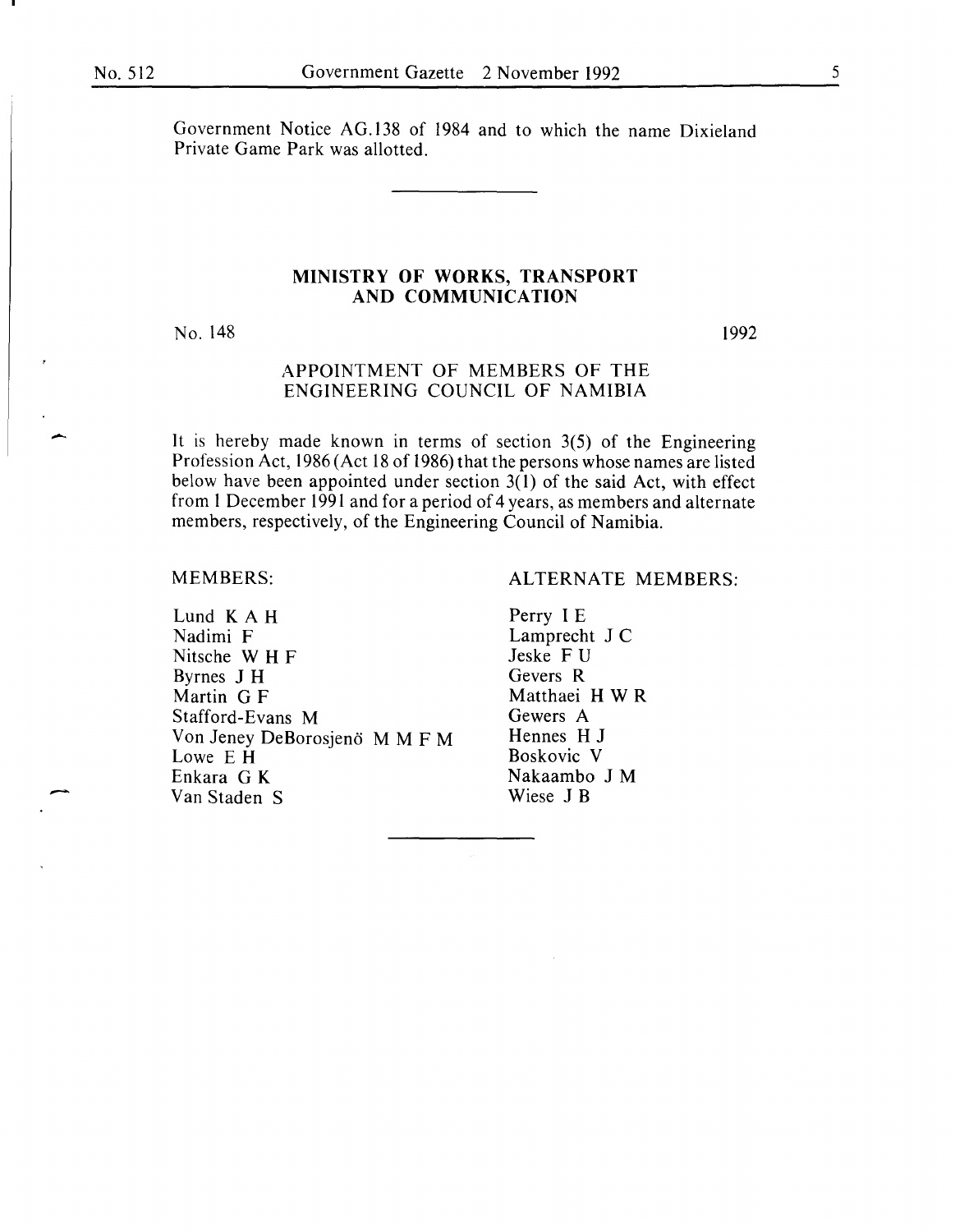Government Notice AG.138 of 1984 and to which the name Dixieland Private Game Park was allotted.

#### **MINISTRY OF WORKS, TRANSPORT AND COMMUNICATION**

No. 148

1992

#### APPOINTMENT OF MEMBERS OF THE ENGINEERING COUNCIL OF NAMIBIA

It is hereby made known in terms of section 3(5) of the Engineering Profession Act, 1986 (Act 18 of 1986) that the persons whose names are listed below have been appointed under section  $3(1)$  of the said Act, with effect from 1 December 1991 and for a period of 4 years, as members and alternate members, respectively, of the Engineering Council of Namibia.

#### MEMBERS:

-

Lund K A **H**  Nadimi F Nitsche W **H** F Byrnes J **H**  Martin G F Stafford-Evans M Von Jeney DeBorosjenö M M F M Lowe E **H**  Enkara G K Van Staden S

#### ALTERNATE MEMBERS:

Perry IE Lamprecht J C Jeske F U Gevers R Matthaei H W R Gewers A Hennes **H J**  Boskovic V Nakaambo **J M**  Wiese J B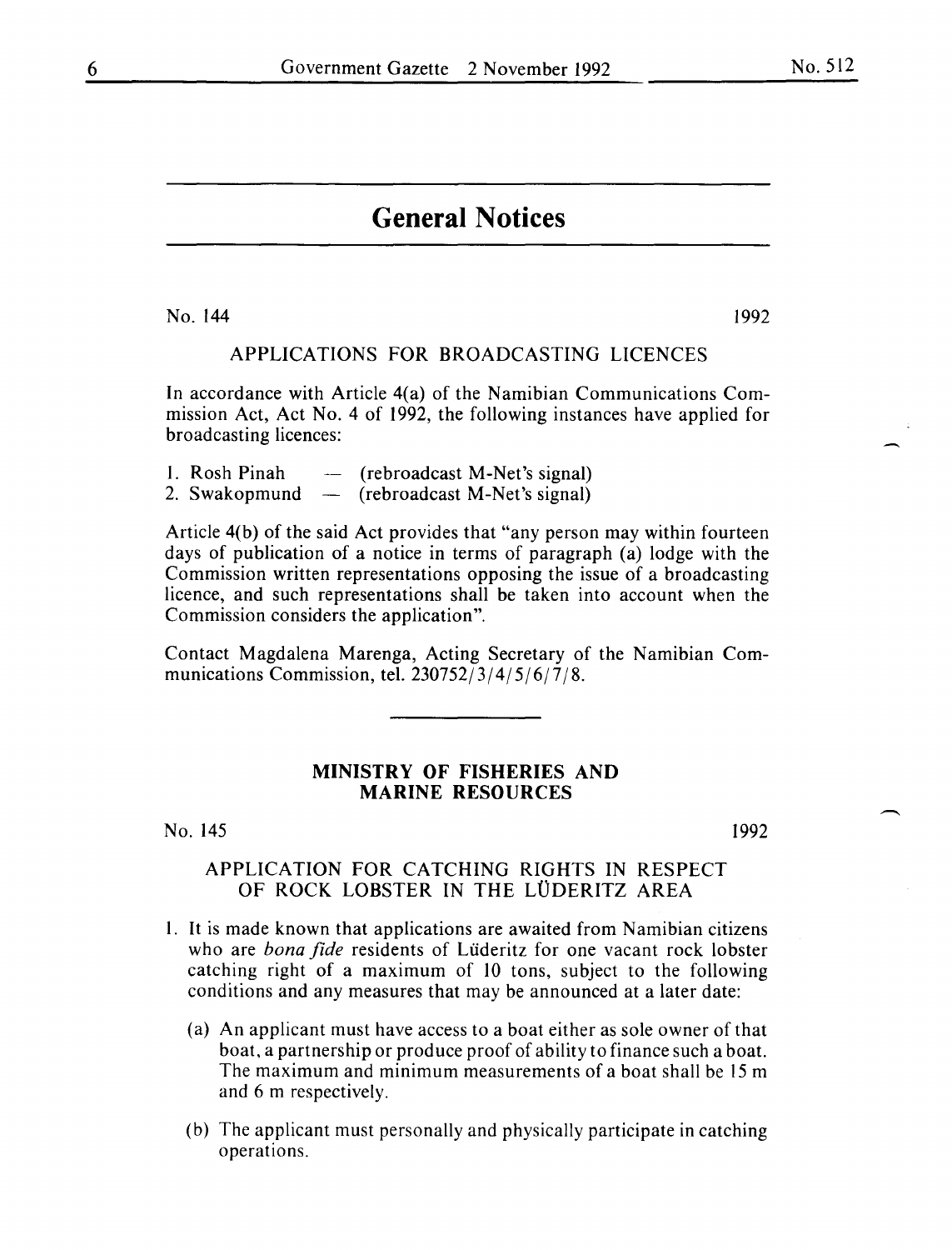# **General Notices**

No. 144 1992

#### APPLICATIONS FOR BROADCASTING LICENCES

In accordance with Article 4(a) of the Namibian Communications Commission Act, Act No. 4 of 1992, the following instances have applied for broadcasting licences:

| 1. Rosh Pinah | (rebroadcast M-Net's signal) |
|---------------|------------------------------|
| 2. Swakopmund | (rebroadcast M-Net's signal) |

Article 4(b) of the said Act provides that "any person may within fourteen days of publication of a notice in terms of paragraph (a) lodge with the Commission written representations opposing the issue of a broadcasting licence, and such representations shall be taken into account when the Commission considers the application".

Contact Magdalena Marenga, Acting Secretary of the Namibian Communications Commission, tel. 230752/3/4/5/6/7/8.

#### **MINISTRY OF FISHERIES AND MARINE RESOURCES**

No. 145

1992

#### APPLICATION FOR CATCHING RIGHTS IN RESPECT OF ROCK LOBSTER IN THE LÜDERITZ AREA

- I. It is made known that applications are awaited from Namibian citizens who are *bona fide* residents of Liideritz for one vacant rock lobster catching right of a maximum of 10 tons, subject to the following conditions and any measures that may be announced at a later date:
	- (a) An applicant must have access to a boat either as sole owner of that boat, a partnership or produce proof of ability to finance such a boat. The maximum and minimum measurements of a boat shall be 15 m and 6 m respectively.
	- (b) The applicant must personally and physically participate in catching operations.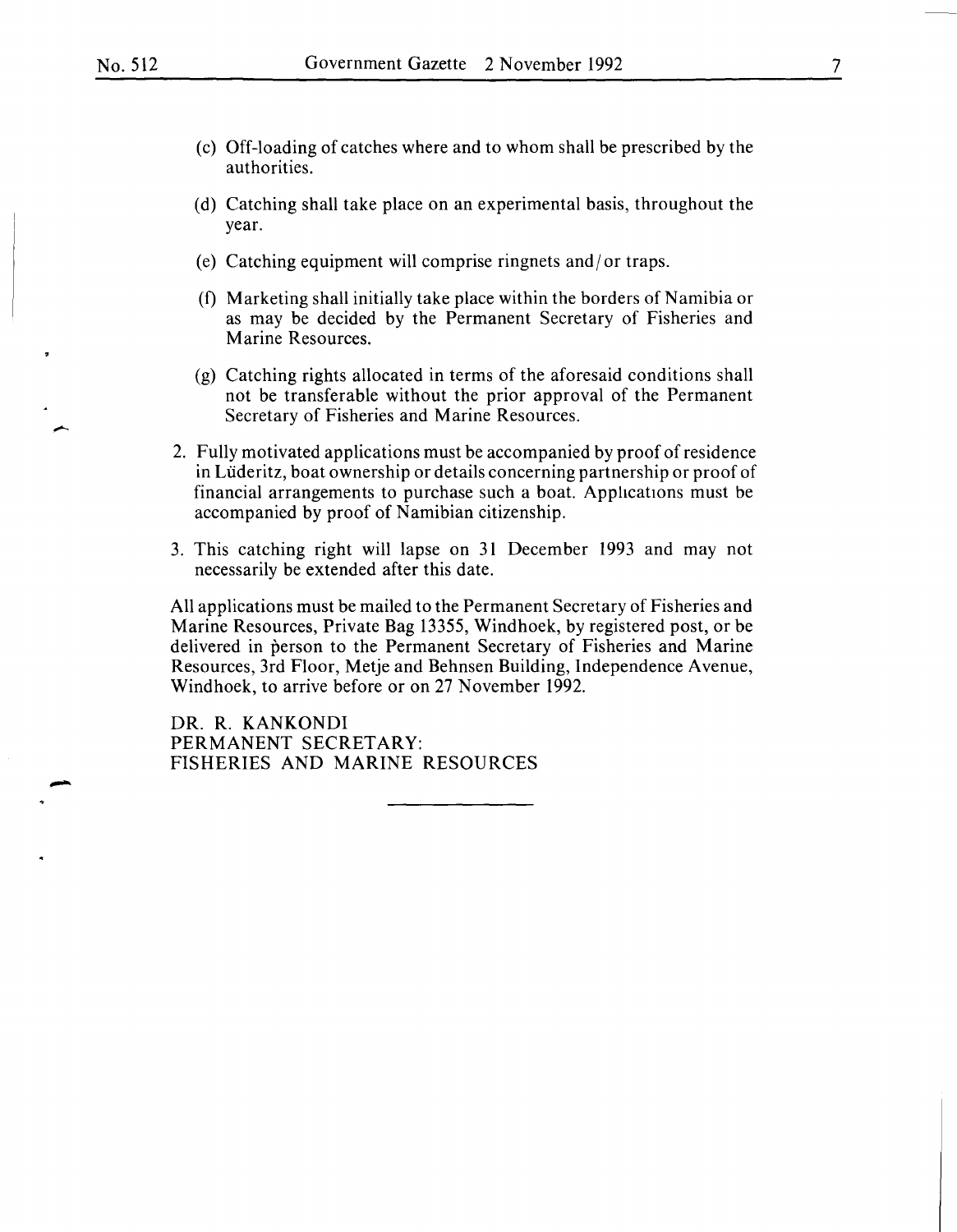- (c) Off-loading of catches where and to whom shall be prescribed by the authorities.
- (d) Catching shall take place on an experimental basis, throughout the year.
- (e) Catching equipment will comprise ringnets and/ or traps.
- (f) Marketing shall initially take place within the borders of Namibia or as may be decided by the Permanent Secretary of Fisheries and Marine Resources.
- (g) Catching rights allocated in terms of the aforesaid conditions shall not be transferable without the prior approval of the Permanent Secretary of Fisheries and Marine Resources.
- 2. Fully motivated applications must be accompanied by proof of residence in Uideritz, boat ownership or details concerning partnership or proof of financial arrangements to purchase such a boat. Applications must be accompanied by proof of Namibian citizenship.
- 3. This catching right will lapse on 31 December 1993 and may not necessarily be extended after this date.

All applications must be mailed to the Permanent Secretary of Fisheries and Marine Resources, Private Bag 13355, Windhoek, by registered post, or be delivered in person to the Permanent Secretary of Fisheries and Marine Resources, 3rd Floor, Metje and Behnsen Building, Independence Avenue, Windhoek, to arrive before or on 27 November 1992.

DR. R. KANKONDI PERMANENT SECRETARY: FISHERIES AND MARINE RESOURCES